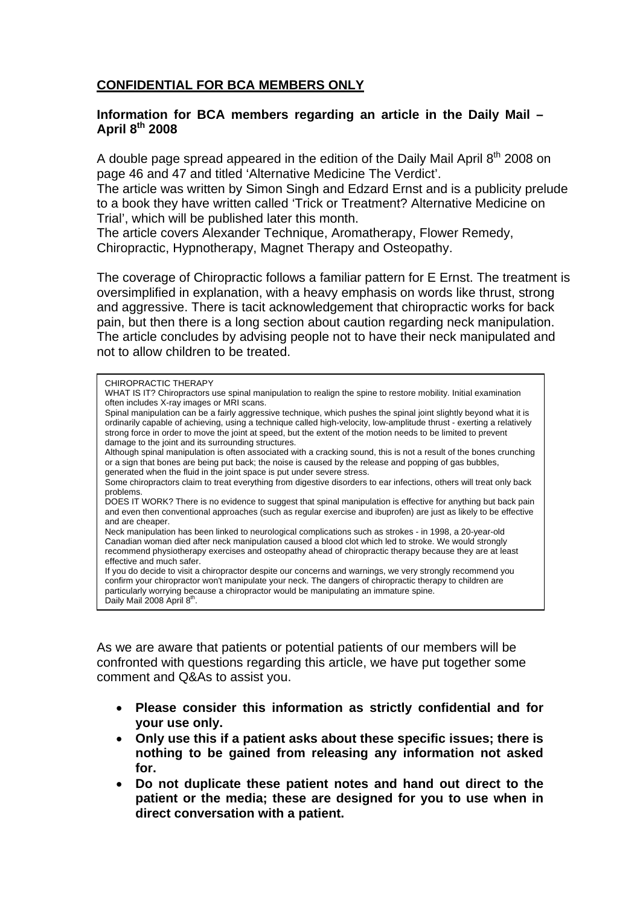# **CONFIDENTIAL FOR BCA MEMBERS ONLY**

# **Information for BCA members regarding an article in the Daily Mail – April 8th 2008**

A double page spread appeared in the edition of the Daily Mail April  $8<sup>th</sup>$  2008 on page 46 and 47 and titled 'Alternative Medicine The Verdict'.

The article was written by Simon Singh and Edzard Ernst and is a publicity prelude to a book they have written called 'Trick or Treatment? Alternative Medicine on Trial', which will be published later this month.

The article covers Alexander Technique, Aromatherapy, Flower Remedy, Chiropractic, Hypnotherapy, Magnet Therapy and Osteopathy.

The coverage of Chiropractic follows a familiar pattern for E Ernst. The treatment is oversimplified in explanation, with a heavy emphasis on words like thrust, strong and aggressive. There is tacit acknowledgement that chiropractic works for back pain, but then there is a long section about caution regarding neck manipulation. The article concludes by advising people not to have their neck manipulated and not to allow children to be treated.

# CHIROPRACTIC THERAPY

| UNIKUPRAUTIU THERAPT                                                                                                                                                                                                                        |
|---------------------------------------------------------------------------------------------------------------------------------------------------------------------------------------------------------------------------------------------|
| WHAT IS IT? Chiropractors use spinal manipulation to realign the spine to restore mobility. Initial examination                                                                                                                             |
| often includes X-ray images or MRI scans.                                                                                                                                                                                                   |
| Spinal manipulation can be a fairly aggressive technique, which pushes the spinal joint slightly beyond what it is<br>ordinarily capable of achieving, using a technique called high-velocity, low-amplitude thrust - exerting a relatively |
| strong force in order to move the joint at speed, but the extent of the motion needs to be limited to prevent                                                                                                                               |
| damage to the joint and its surrounding structures.                                                                                                                                                                                         |
| Although spinal manipulation is often associated with a cracking sound, this is not a result of the bones crunching                                                                                                                         |
| or a sign that bones are being put back; the noise is caused by the release and popping of gas bubbles,                                                                                                                                     |
| generated when the fluid in the joint space is put under severe stress.                                                                                                                                                                     |
| Some chiropractors claim to treat everything from digestive disorders to ear infections, others will treat only back                                                                                                                        |
| problems.                                                                                                                                                                                                                                   |
| DOES IT WORK? There is no evidence to suggest that spinal manipulation is effective for anything but back pain                                                                                                                              |
| and even then conventional approaches (such as regular exercise and ibuprofen) are just as likely to be effective                                                                                                                           |
| and are cheaper.                                                                                                                                                                                                                            |
| Neck manipulation has been linked to neurological complications such as strokes - in 1998, a 20-year-old                                                                                                                                    |
| Canadian woman died after neck manipulation caused a blood clot which led to stroke. We would strongly                                                                                                                                      |
| recommend physiotherapy exercises and osteopathy ahead of chiropractic therapy because they are at least                                                                                                                                    |
| effective and much safer.                                                                                                                                                                                                                   |
| If you do decide to visit a chiropractor despite our concerns and warnings, we very strongly recommend you                                                                                                                                  |
| confirm your chiropractor won't manipulate your neck. The dangers of chiropractic therapy to children are                                                                                                                                   |
| particularly worrying because a chiropractor would be manipulating an immature spine.                                                                                                                                                       |
| Daily Mail 2008 April 8 <sup>m</sup> .                                                                                                                                                                                                      |
|                                                                                                                                                                                                                                             |

As we are aware that patients or potential patients of our members will be confronted with questions regarding this article, we have put together some comment and Q&As to assist you.

- **Please consider this information as strictly confidential and for your use only.**
- **Only use this if a patient asks about these specific issues; there is nothing to be gained from releasing any information not asked for.**
- **Do not duplicate these patient notes and hand out direct to the patient or the media; these are designed for you to use when in direct conversation with a patient.**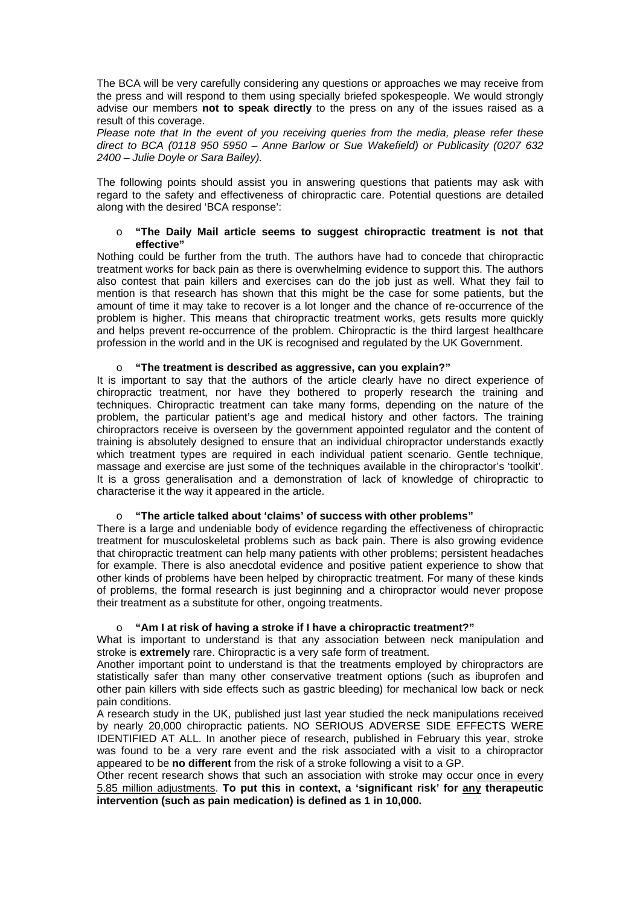The BCA will be very carefully considering any questions or approaches we may receive from the press and will respond to them using specially briefed spokespeople. We would strongly advise our members **not to speak directly** to the press on any of the issues raised as a result of this coverage.

*Please note that In the event of you receiving queries from the media, please refer these direct to BCA (0118 950 5950 – Anne Barlow or Sue Wakefield) or Publicasity (0207 632 2400 – Julie Doyle or Sara Bailey).* 

The following points should assist you in answering questions that patients may ask with regard to the safety and effectiveness of chiropractic care. Potential questions are detailed along with the desired 'BCA response':

#### o **"The Daily Mail article seems to suggest chiropractic treatment is not that effective"**

Nothing could be further from the truth. The authors have had to concede that chiropractic treatment works for back pain as there is overwhelming evidence to support this. The authors also contest that pain killers and exercises can do the job just as well. What they fail to mention is that research has shown that this might be the case for some patients, but the amount of time it may take to recover is a lot longer and the chance of re-occurrence of the problem is higher. This means that chiropractic treatment works, gets results more quickly and helps prevent re-occurrence of the problem. Chiropractic is the third largest healthcare profession in the world and in the UK is recognised and regulated by the UK Government.

o **"The treatment is described as aggressive, can you explain?"** 

It is important to say that the authors of the article clearly have no direct experience of chiropractic treatment, nor have they bothered to properly research the training and techniques. Chiropractic treatment can take many forms, depending on the nature of the problem, the particular patient's age and medical history and other factors. The training chiropractors receive is overseen by the government appointed regulator and the content of training is absolutely designed to ensure that an individual chiropractor understands exactly which treatment types are required in each individual patient scenario. Gentle technique, massage and exercise are just some of the techniques available in the chiropractor's 'toolkit'. It is a gross generalisation and a demonstration of lack of knowledge of chiropractic to characterise it the way it appeared in the article.

#### o **"The article talked about 'claims' of success with other problems"**

There is a large and undeniable body of evidence regarding the effectiveness of chiropractic treatment for musculoskeletal problems such as back pain. There is also growing evidence that chiropractic treatment can help many patients with other problems; persistent headaches for example. There is also anecdotal evidence and positive patient experience to show that other kinds of problems have been helped by chiropractic treatment. For many of these kinds of problems, the formal research is just beginning and a chiropractor would never propose their treatment as a substitute for other, ongoing treatments.

#### "Am I at risk of having a stroke if I have a chiropractic treatment?"

What is important to understand is that any association between neck manipulation and stroke is **extremely** rare. Chiropractic is a very safe form of treatment.

Another important point to understand is that the treatments employed by chiropractors are statistically safer than many other conservative treatment options (such as ibuprofen and other pain killers with side effects such as gastric bleeding) for mechanical low back or neck pain conditions.

A research study in the UK, published just last year studied the neck manipulations received by nearly 20,000 chiropractic patients. NO SERIOUS ADVERSE SIDE EFFECTS WERE IDENTIFIED AT ALL. In another piece of research, published in February this year, stroke was found to be a very rare event and the risk associated with a visit to a chiropractor appeared to be **no different** from the risk of a stroke following a visit to a GP.

Other recent research shows that such an association with stroke may occur once in every 5.85 million adjustments. **To put this in context, a 'significant risk' for any therapeutic intervention (such as pain medication) is defined as 1 in 10,000.**